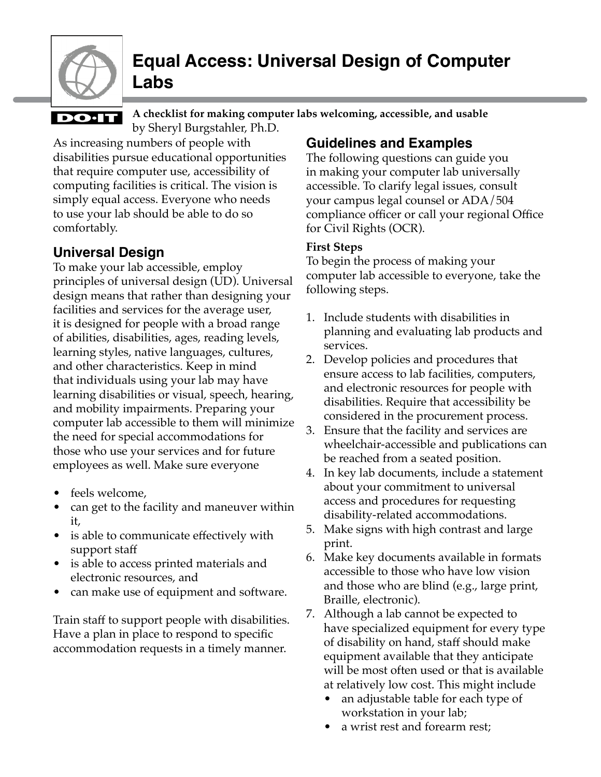

# **Equal Access: Universal Design of Computer Labs**

## **DO**·IT

**A checklist for making computer labs welcoming, accessible, and usable** by Sheryl Burgstahler, Ph.D.

As increasing numbers of people with disabilities pursue educational opportunities that require computer use, accessibility of computing facilities is critical. The vision is simply equal access. Everyone who needs to use your lab should be able to do so comfortably.

# **Universal Design**

To make your lab accessible, employ principles of universal design (UD). Universal design means that rather than designing your facilities and services for the average user, it is designed for people with a broad range of abilities, disabilities, ages, reading levels, learning styles, native languages, cultures, and other characteristics. Keep in mind that individuals using your lab may have learning disabilities or visual, speech, hearing, and mobility impairments. Preparing your computer lab accessible to them will minimize the need for special accommodations for those who use your services and for future employees as well. Make sure everyone

- feels welcome,
- can get to the facility and maneuver within it,
- is able to communicate effectively with support staff
- is able to access printed materials and electronic resources, and
- can make use of equipment and software.

Train staff to support people with disabilities. Have a plan in place to respond to specific accommodation requests in a timely manner.

# **Guidelines and Examples**

The following questions can guide you in making your computer lab universally accessible. To clarify legal issues, consult your campus legal counsel or ADA/504 compliance officer or call your regional Office for Civil Rights (OCR).

## **First Steps**

To begin the process of making your computer lab accessible to everyone, take the following steps.

- 1. Include students with disabilities in planning and evaluating lab products and services.
- 2. Develop policies and procedures that ensure access to lab facilities, computers, and electronic resources for people with disabilities. Require that accessibility be considered in the procurement process.
- 3. Ensure that the facility and services are wheelchair-accessible and publications can be reached from a seated position.
- 4. In key lab documents, include a statement about your commitment to universal access and procedures for requesting disability-related accommodations.
- 5. Make signs with high contrast and large print.
- 6. Make key documents available in formats accessible to those who have low vision and those who are blind (e.g., large print, Braille, electronic).
- 7. Although a lab cannot be expected to have specialized equipment for every type of disability on hand, staff should make equipment available that they anticipate will be most often used or that is available at relatively low cost. This might include
	- an adjustable table for each type of workstation in your lab;
	- a wrist rest and forearm rest;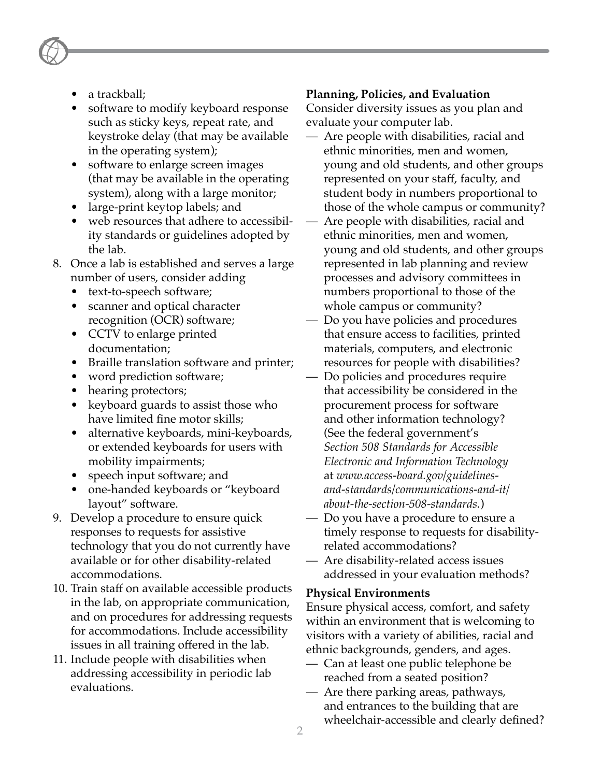- a trackball;
- software to modify keyboard response such as sticky keys, repeat rate, and keystroke delay (that may be available in the operating system);
- software to enlarge screen images (that may be available in the operating system), along with a large monitor;
- large-print keytop labels; and
- web resources that adhere to accessibility standards or guidelines adopted by the lab.
- 8. Once a lab is established and serves a large number of users, consider adding
	- text-to-speech software;
	- scanner and optical character recognition (OCR) software;
	- CCTV to enlarge printed documentation;
	- Braille translation software and printer;
	- word prediction software;
	- hearing protectors;
	- keyboard guards to assist those who have limited fine motor skills;
	- alternative keyboards, mini-keyboards, or extended keyboards for users with mobility impairments;
	- speech input software; and
	- one-handed keyboards or "keyboard layout" software.
- 9. Develop a procedure to ensure quick responses to requests for assistive technology that you do not currently have available or for other disability-related accommodations.
- 10. Train staff on available accessible products in the lab, on appropriate communication, and on procedures for addressing requests for accommodations. Include accessibility issues in all training offered in the lab.
- 11. Include people with disabilities when addressing accessibility in periodic lab evaluations.

## **Planning, Policies, and Evaluation**

Consider diversity issues as you plan and evaluate your computer lab.

- Are people with disabilities, racial and ethnic minorities, men and women, young and old students, and other groups represented on your staff, faculty, and student body in numbers proportional to those of the whole campus or community?
- Are people with disabilities, racial and ethnic minorities, men and women, young and old students, and other groups represented in lab planning and review processes and advisory committees in numbers proportional to those of the whole campus or community?
- Do you have policies and procedures that ensure access to facilities, printed materials, computers, and electronic resources for people with disabilities?
- Do policies and procedures require that accessibility be considered in the procurement process for software and other information technology? (See the federal government's *Section 508 Standards for Accessible Electronic and Information Technology* at *[www.access-board.gov/guidelines](http://www.access-board.gov/guidelines-and-standards/communications-and-it/about-the-section-508-standards)[and-standards/communications-and-it/](http://www.access-board.gov/guidelines-and-standards/communications-and-it/about-the-section-508-standards) [about-the-section-508-standards](http://www.access-board.gov/guidelines-and-standards/communications-and-it/about-the-section-508-standards).*)
- Do you have a procedure to ensure a timely response to requests for disabilityrelated accommodations?
- Are disability-related access issues addressed in your evaluation methods?

#### **Physical Environments**

Ensure physical access, comfort, and safety within an environment that is welcoming to visitors with a variety of abilities, racial and ethnic backgrounds, genders, and ages.

- Can at least one public telephone be reached from a seated position?
- Are there parking areas, pathways, and entrances to the building that are wheelchair-accessible and clearly defined?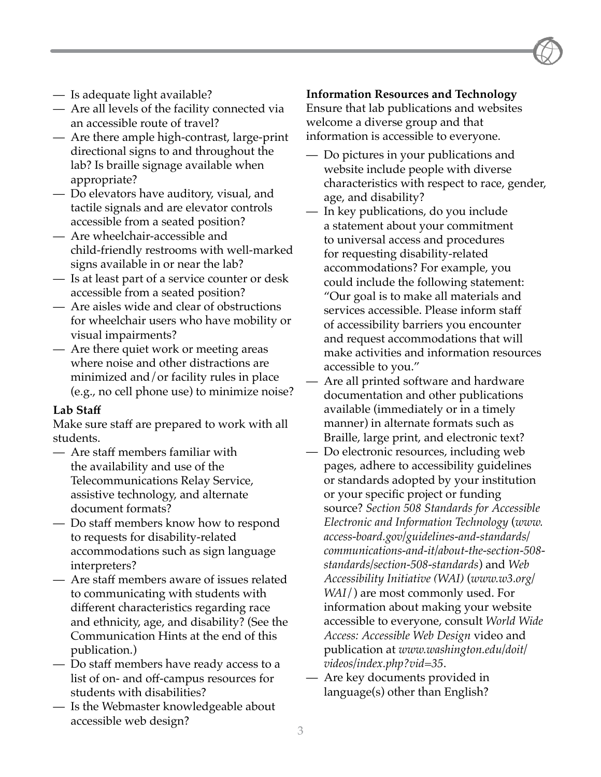- Is adequate light available?
- Are all levels of the facility connected via an accessible route of travel?
- Are there ample high-contrast, large-print directional signs to and throughout the lab? Is braille signage available when appropriate?
- Do elevators have auditory, visual, and tactile signals and are elevator controls accessible from a seated position?
- Are wheelchair-accessible and child-friendly restrooms with well-marked signs available in or near the lab?
- Is at least part of a service counter or desk accessible from a seated position?
- Are aisles wide and clear of obstructions for wheelchair users who have mobility or visual impairments?
- Are there quiet work or meeting areas where noise and other distractions are minimized and/or facility rules in place (e.g., no cell phone use) to minimize noise?

## **Lab Staff**

Make sure staff are prepared to work with all students.

- Are staff members familiar with the availability and use of the Telecommunications Relay Service, assistive technology, and alternate document formats?
- Do staff members know how to respond to requests for disability-related accommodations such as sign language interpreters?
- Are staff members aware of issues related to communicating with students with different characteristics regarding race and ethnicity, age, and disability? (See the Communication Hints at the end of this publication.)
- Do staff members have ready access to a list of on- and off-campus resources for students with disabilities?
- Is the Webmaster knowledgeable about accessible web design?

## **Information Resources and Technology**

Ensure that lab publications and websites welcome a diverse group and that information is accessible to everyone.

- Do pictures in your publications and website include people with diverse characteristics with respect to race, gender, age, and disability?
- In key publications, do you include a statement about your commitment to universal access and procedures for requesting disability-related accommodations? For example, you could include the following statement: "Our goal is to make all materials and services accessible. Please inform staff of accessibility barriers you encounter and request accommodations that will make activities and information resources accessible to you."

— Are all printed software and hardware documentation and other publications available (immediately or in a timely manner) in alternate formats such as Braille, large print, and electronic text?

- Do electronic resources, including web pages, adhere to accessibility guidelines or standards adopted by your institution or your specific project or funding source? *Section 508 Standards for Accessible Electronic and Information Technology* (*[www.](http://www.access-board.gov/guidelines-and-standards/communications-and-it/about-the-section-508-standards/section-508-standards) [access-board.gov/guidelines-and-standards/](http://www.access-board.gov/guidelines-and-standards/communications-and-it/about-the-section-508-standards/section-508-standards) [communications-and-it/about-the-section-508](http://www.access-board.gov/guidelines-and-standards/communications-and-it/about-the-section-508-standards/section-508-standards) [standards/section-508-standards](http://www.access-board.gov/guidelines-and-standards/communications-and-it/about-the-section-508-standards/section-508-standards)*) and *Web Accessibility Initiative (WAI)* (*[www.w3.org/](http://www.w3.org/WAI/) [WAI](http://www.w3.org/WAI/)*/) are most commonly used. For information about making your website accessible to everyone, consult *World Wide Access: Accessible Web Design* video and publication at *[www.washington.edu/doit/](http://www.washington.edu/doit/videos/index.php?vid=35) [videos/index.php?vid=35](http://www.washington.edu/doit/videos/index.php?vid=35)*.
- Are key documents provided in language(s) other than English?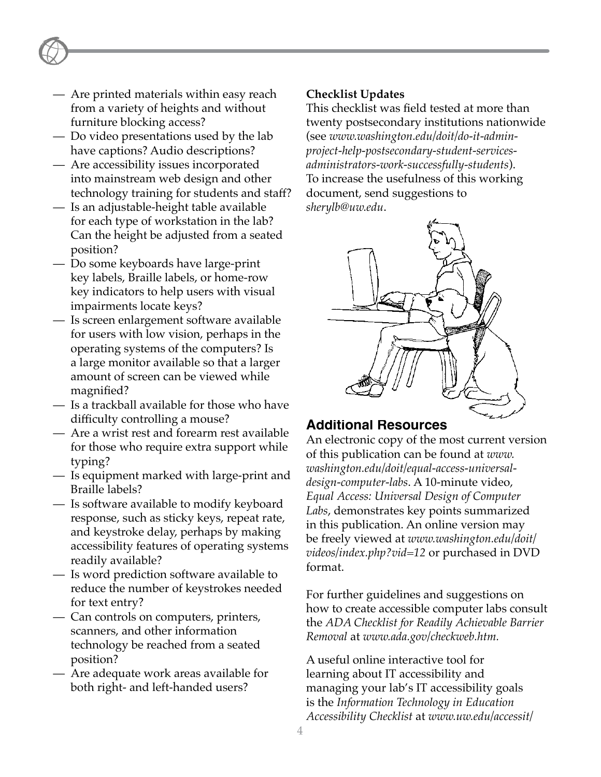

- Do video presentations used by the lab have captions? Audio descriptions?
- Are accessibility issues incorporated into mainstream web design and other technology training for students and staff?
- Is an adjustable-height table available for each type of workstation in the lab? Can the height be adjusted from a seated position?
- Do some keyboards have large-print key labels, Braille labels, or home-row key indicators to help users with visual impairments locate keys?
- Is screen enlargement software available for users with low vision, perhaps in the operating systems of the computers? Is a large monitor available so that a larger amount of screen can be viewed while magnified?
- Is a trackball available for those who have difficulty controlling a mouse?
- Are a wrist rest and forearm rest available for those who require extra support while typing?
- Is equipment marked with large-print and Braille labels?
- Is software available to modify keyboard response, such as sticky keys, repeat rate, and keystroke delay, perhaps by making accessibility features of operating systems readily available?
- Is word prediction software available to reduce the number of keystrokes needed for text entry?
- Can controls on computers, printers, scanners, and other information technology be reached from a seated position?
- Are adequate work areas available for both right- and left-handed users?

## **Checklist Updates**

This checklist was field tested at more than twenty postsecondary institutions nationwide (see *[www.washington.edu/doit/do-it-admin](http://www.washington.edu/doit/do-it-admin-project-help-postsecondary-student-services-administrators-work-successfully-students)[project-help-postsecondary-student-services](http://www.washington.edu/doit/do-it-admin-project-help-postsecondary-student-services-administrators-work-successfully-students)[administrators-work-successfully-students](http://www.washington.edu/doit/do-it-admin-project-help-postsecondary-student-services-administrators-work-successfully-students)*). To increase the usefulness of this working document, send suggestions to *[sherylb@uw.edu](mailto:sherylb@uw.edu)*.



## **Additional Resources**

An electronic copy of the most current version of this publication can be found at *[www.](http://www.washington.edu/doit/equal-access-universal-design-computer-labs) [washington.edu/doit/equal-access-universal](http://www.washington.edu/doit/equal-access-universal-design-computer-labs)[design-computer-labs](http://www.washington.edu/doit/equal-access-universal-design-computer-labs)*. A 10-minute video, *Equal Access: Universal Design of Computer Labs*, demonstrates key points summarized in this publication. An online version may be freely viewed at *[www.washington.edu/doit/](http://www.washington.edu/doit/videos/index.php?vid=12) [videos/index.php?vid=12](http://www.washington.edu/doit/videos/index.php?vid=12)* or purchased in DVD format.

For further guidelines and suggestions on how to create accessible computer labs consult the *ADA Checklist for Readily Achievable Barrier Removal* at *[www.ada.gov/checkweb.htm.](http://www.ada.gov/checkweb.htm)* 

A useful online interactive tool for learning about IT accessibility and managing your lab's IT accessibility goals is the *Information Technology in Education Accessibility Checklist* at *[www.uw.edu/accessit/](http://www.uw.edu/accessit/it-checklist/)*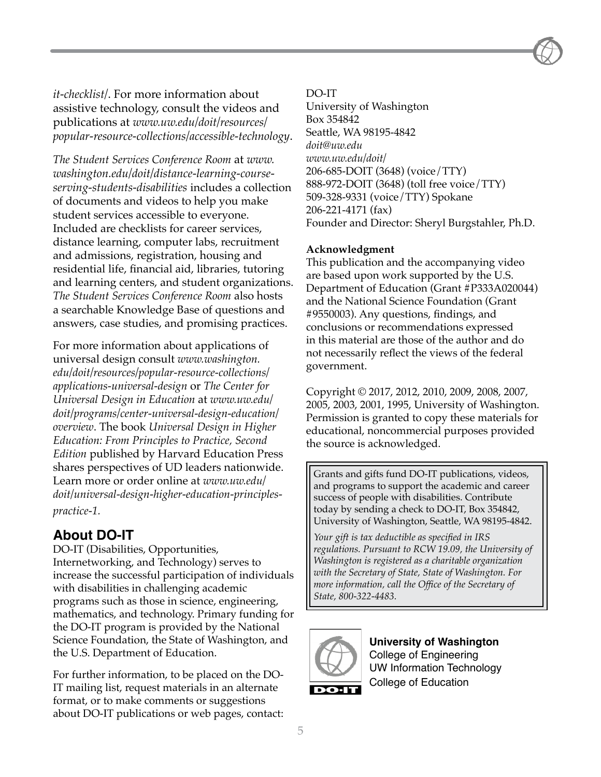*[it-checklist/](http://www.uw.edu/accessit/it-checklist/)*. For more information about assistive technology, consult the videos and publications at *www.uw.edu/doit/resources/ popular-resource-collections/accessible-technology*.

*The Student Services Conference Room* at *[www.](http://www.washington.edu/doit/distance-learning-course-serving-students-disabilities) [washington.edu/doit/distance-learning-course](http://www.washington.edu/doit/distance-learning-course-serving-students-disabilities)[serving-students-disabilities](http://www.washington.edu/doit/distance-learning-course-serving-students-disabilities)* includes a collection of documents and videos to help you make student services accessible to everyone. Included are checklists for career services, distance learning, computer labs, recruitment and admissions, registration, housing and residential life, financial aid, libraries, tutoring and learning centers, and student organizations. *The Student Services Conference Room* also hosts a searchable Knowledge Base of questions and answers, case studies, and promising practices.

For more information about applications of universal design consult *[www.washington.](http://www.washington.edu/doit/resources/popular-resource-collections/applications-universal-design) [edu/doit/resources/popular-resource-collections/](http://www.washington.edu/doit/resources/popular-resource-collections/applications-universal-design) [applications-universal-design](http://www.washington.edu/doit/resources/popular-resource-collections/applications-universal-design)* or *The Center for Universal Design in Education* at *[www.uw.edu/](http://www.uw.edu/doit/programs/center-universal-design-education/overview) [doit/programs/center-universal-design-education/](http://www.uw.edu/doit/programs/center-universal-design-education/overview) [overview](http://www.uw.edu/doit/programs/center-universal-design-education/overview)*. The book *Universal Design in Higher Education: From Principles to Practice, Second Edition* published by Harvard Education Press shares perspectives of UD leaders nationwide. Learn more or order online at *[www.uw.edu/](http://www.uw.edu/doit/universal-design-higher-education-principles-practice-1) [doit/universal-design-higher-education-principles](http://www.uw.edu/doit/universal-design-higher-education-principles-practice-1)[practice-1.](http://www.uw.edu/doit/universal-design-higher-education-principles-practice-1)*

## **About DO-IT**

DO-IT (Disabilities, Opportunities, Internetworking, and Technology) serves to increase the successful participation of individuals with disabilities in challenging academic programs such as those in science, engineering, mathematics, and technology. Primary funding for the DO-IT program is provided by the National Science Foundation, the State of Washington, and the U.S. Department of Education.

For further information, to be placed on the DO-IT mailing list, request materials in an alternate format, or to make comments or suggestions about DO-IT publications or web pages, contact:

#### DO-IT

University of Washington Box 354842 Seattle, WA 98195-4842 *[doit@uw.edu](mailto:doit@uw.edu) [www.uw.edu/doit/](http://www.uw.edu/doit/)* 206-685-DOIT (3648) (voice/TTY) 888-972-DOIT (3648) (toll free voice/TTY) 509-328-9331 (voice/TTY) Spokane 206-221-4171 (fax) Founder and Director: Sheryl Burgstahler, Ph.D.

#### **Acknowledgment**

This publication and the accompanying video are based upon work supported by the U.S. Department of Education (Grant #P333A020044) and the National Science Foundation (Grant #9550003). Any questions, findings, and conclusions or recommendations expressed in this material are those of the author and do not necessarily reflect the views of the federal government.

Copyright © 2017, 2012, 2010, 2009, 2008, 2007, 2005, 2003, 2001, 1995, University of Washington. Permission is granted to copy these materials for educational, noncommercial purposes provided the source is acknowledged.

Grants and gifts fund DO-IT publications, videos, and programs to support the academic and career success of people with disabilities. Contribute today by sending a check to DO-IT, Box 354842, University of Washington, Seattle, WA 98195-4842.

*Your gift is tax deductible as specified in IRS regulations. Pursuant to RCW 19.09, the University of Washington is registered as a charitable organization with the Secretary of State, State of Washington. For more information, call the Office of the Secretary of State, 800-322-4483.*



**University of Washington** College of Engineering UW Information Technology College of Education